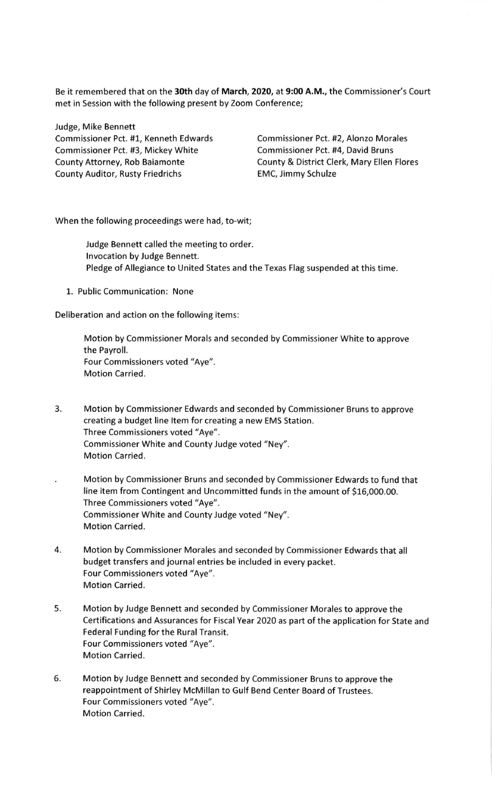Be it remembered that on the 30th day of March, 2020, at 9:00 A.M., the Commissioner's Court met in Session with the following present by Zoom Conference;

Judge, Mike Bennett Commissioner Pct. #3, Mickey White

County Attorney, Rob Baiamonte County Auditor, Rusty Friedrichs

Commissioner Pct. #1, Kenneth Edwards Commissioner Pct. #2, Alonzo Morales Commissioner Pct. #4, David Bruns County & District Clerk, Mary Ellen Flores EMC, Jimmy Schulze

When the following proceedings were had, to-wit;

Judge Bennett called the meeting to order. lnvocation by Judge Bennett. Pledge of Allegiance to United States and the Texas Flag suspended at this time.

1. Public Communication: None

Deliberation and action on the following items:

Motion by Commissioner Morals and seconded by Commissioner White to approve the Payroll. Four Commissioners voted "Aye". Motion Carried.

- 3. Motion by Commissioner Edwards and seconded by Commissioner Bruns to approve creating a budget line ltem for creating a new EMS Station. Three Commissioners voted "Aye". Commissioner White and County Judge voted "Ney". Motion Carried.
- Motion by Commissioner Bruns and seconded by Commissioner Edwards to fund that line item from Contingent and Uncommitted funds in the amount of 516,000.00. Three Commissioners voted "Aye". Commissioner White and County Judge voted "Ney". Motion Carried.
- 4. Motion by Commissioner Morales and seconded by Commissioner Edwards that all budget transfers and journal entries be included in every packet. Four Commissioners voted "Aye". Motion Carried.
- 5. Motion by Judge Bennett and seconded by Commissioner Morales to approve the Certifications and Assurances for Fiscal Year 2020 as part of the application for State and Federal Funding for the Rural Transit. Four Commissioners voted "Aye". Motion Carried.
- 5. Motion by Judge Bennett and seconded by Commissioner Bruns to approve the reappointment of Shirley McMillan to Gulf Bend Center Board of Trustees. Four Commissioners voted "Aye". Motion Carried.